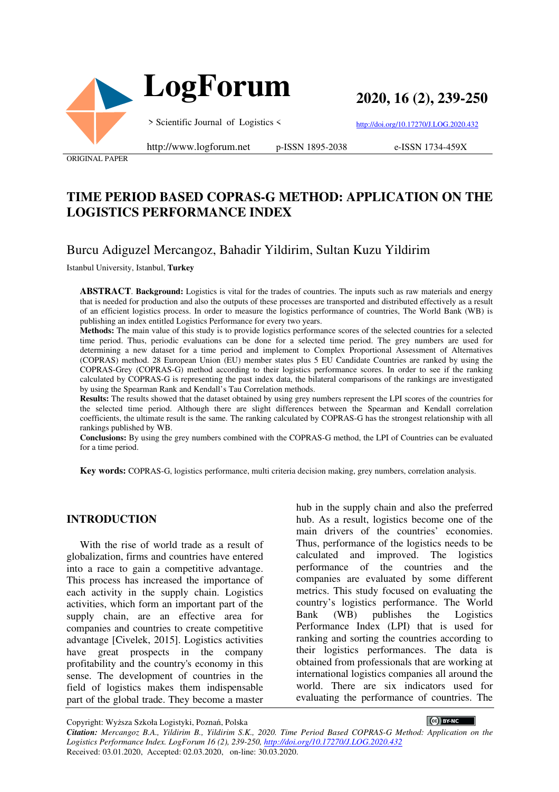

**2020, 16 (2), 239-250**

> Scientific Journal of Logistics <

http://doi.org/10.17270/J.LOG.2020.432

ORIGINAL PAPER

http://www.logforum.net p-ISSN 1895-2038

e-ISSN 1734-459X

# **TIME PERIOD BASED COPRAS-G METHOD: APPLICATION ON THE LOGISTICS PERFORMANCE INDEX**

# Burcu Adiguzel Mercangoz, Bahadir Yildirim, Sultan Kuzu Yildirim

Istanbul University, Istanbul, **Turkey**

**ABSTRACT**. **Background:** Logistics is vital for the trades of countries. The inputs such as raw materials and energy that is needed for production and also the outputs of these processes are transported and distributed effectively as a result of an efficient logistics process. In order to measure the logistics performance of countries, The World Bank (WB) is publishing an index entitled Logistics Performance for every two years.

**Methods:** The main value of this study is to provide logistics performance scores of the selected countries for a selected time period. Thus, periodic evaluations can be done for a selected time period. The grey numbers are used for determining a new dataset for a time period and implement to Complex Proportional Assessment of Alternatives (COPRAS) method. 28 European Union (EU) member states plus 5 EU Candidate Countries are ranked by using the COPRAS-Grey (COPRAS-G) method according to their logistics performance scores. In order to see if the ranking calculated by COPRAS-G is representing the past index data, the bilateral comparisons of the rankings are investigated by using the Spearman Rank and Kendall's Tau Correlation methods.

**Results:** The results showed that the dataset obtained by using grey numbers represent the LPI scores of the countries for the selected time period. Although there are slight differences between the Spearman and Kendall correlation coefficients, the ultimate result is the same. The ranking calculated by COPRAS-G has the strongest relationship with all rankings published by WB.

**Conclusions:** By using the grey numbers combined with the COPRAS-G method, the LPI of Countries can be evaluated for a time period.

**Key words:** COPRAS-G, logistics performance, multi criteria decision making, grey numbers, correlation analysis.

#### **INTRODUCTION**

With the rise of world trade as a result of globalization, firms and countries have entered into a race to gain a competitive advantage. This process has increased the importance of each activity in the supply chain. Logistics activities, which form an important part of the supply chain, are an effective area for companies and countries to create competitive advantage [Civelek, 2015]. Logistics activities have great prospects in the company profitability and the country's economy in this sense. The development of countries in the field of logistics makes them indispensable part of the global trade. They become a master

hub in the supply chain and also the preferred hub. As a result, logistics become one of the main drivers of the countries' economies. Thus, performance of the logistics needs to be calculated and improved. The logistics performance of the countries and the companies are evaluated by some different metrics. This study focused on evaluating the country's logistics performance. The World Bank (WB) publishes the Logistics Performance Index (LPI) that is used for ranking and sorting the countries according to their logistics performances. The data is obtained from professionals that are working at international logistics companies all around the world. There are six indicators used for evaluating the performance of countries. The

CC BY-NC

Copyright: Wyższa Szkoła Logistyki, Poznań, Polska *Citation: Mercangoz B.A., Yildirim B., Yildirim S.K., 2020. Time Period Based COPRAS-G Method: Application on the Logistics Performance Index. LogForum 16 (2), 239-250, http://doi.org/10.17270/J.LOG.2020.432*  Received: 03.01.2020, Accepted: 02.03.2020, on-line: 30.03.2020.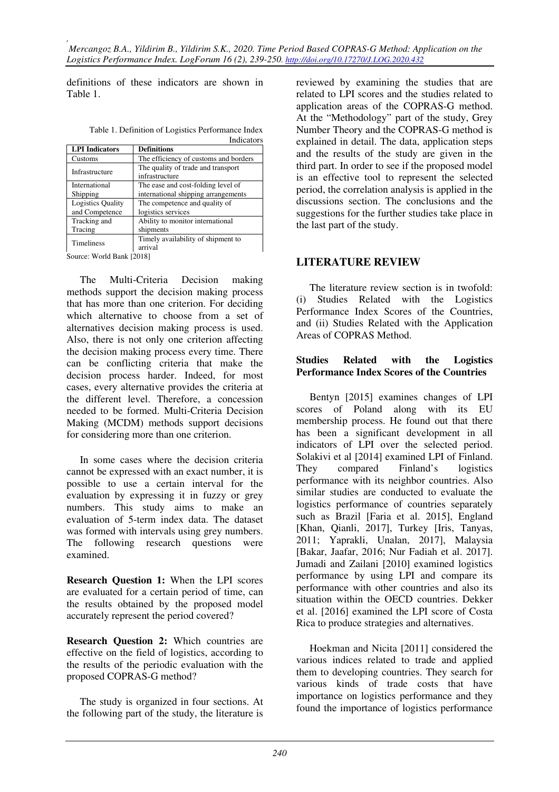definitions of these indicators are shown in Table 1.

| Table 1. Definition of Logistics Performance Index |            |
|----------------------------------------------------|------------|
|                                                    | Indicators |

|                          | 111010awr 5                                          |
|--------------------------|------------------------------------------------------|
| <b>LPI</b> Indicators    | <b>Definitions</b>                                   |
| Customs                  | The efficiency of customs and borders                |
| Infrastructure           | The quality of trade and transport<br>infrastructure |
| International            | The ease and cost-folding level of                   |
| Shipping                 | international shipping arrangements                  |
| <b>Logistics Quality</b> | The competence and quality of                        |
| and Competence           | logistics services                                   |
| Tracking and             | Ability to monitor international                     |
| Tracing                  | shipments                                            |
| Timeliness               | Timely availability of shipment to                   |
|                          | arrival                                              |
|                          |                                                      |

Source: World Bank [2018]

The Multi-Criteria Decision making methods support the decision making process that has more than one criterion. For deciding which alternative to choose from a set of alternatives decision making process is used. Also, there is not only one criterion affecting the decision making process every time. There can be conflicting criteria that make the decision process harder. Indeed, for most cases, every alternative provides the criteria at the different level. Therefore, a concession needed to be formed. Multi-Criteria Decision Making (MCDM) methods support decisions for considering more than one criterion.

In some cases where the decision criteria cannot be expressed with an exact number, it is possible to use a certain interval for the evaluation by expressing it in fuzzy or grey numbers. This study aims to make an evaluation of 5-term index data. The dataset was formed with intervals using grey numbers. The following research questions were examined.

**Research Question 1:** When the LPI scores are evaluated for a certain period of time, can the results obtained by the proposed model accurately represent the period covered?

**Research Question 2:** Which countries are effective on the field of logistics, according to the results of the periodic evaluation with the proposed COPRAS-G method?

The study is organized in four sections. At the following part of the study, the literature is

reviewed by examining the studies that are related to LPI scores and the studies related to application areas of the COPRAS-G method. At the "Methodology" part of the study, Grey Number Theory and the COPRAS-G method is explained in detail. The data, application steps and the results of the study are given in the third part. In order to see if the proposed model is an effective tool to represent the selected period, the correlation analysis is applied in the discussions section. The conclusions and the suggestions for the further studies take place in the last part of the study.

# **LITERATURE REVIEW**

The literature review section is in twofold: (i) Studies Related with the Logistics Performance Index Scores of the Countries, and (ii) Studies Related with the Application Areas of COPRAS Method.

#### **Studies Related with the Logistics Performance Index Scores of the Countries**

Bentyn [2015] examines changes of LPI scores of Poland along with its EU membership process. He found out that there has been a significant development in all indicators of LPI over the selected period. Solakivi et al [2014] examined LPI of Finland. They compared Finland's logistics performance with its neighbor countries. Also similar studies are conducted to evaluate the logistics performance of countries separately such as Brazil [Faria et al. 2015], England [Khan, Qianli, 2017], Turkey [Iris, Tanyas, 2011; Yaprakli, Unalan, 2017], Malaysia [Bakar, Jaafar, 2016; Nur Fadiah et al. 2017]. Jumadi and Zailani [2010] examined logistics performance by using LPI and compare its performance with other countries and also its situation within the OECD countries. Dekker et al. [2016] examined the LPI score of Costa Rica to produce strategies and alternatives.

Hoekman and Nicita [2011] considered the various indices related to trade and applied them to developing countries. They search for various kinds of trade costs that have importance on logistics performance and they found the importance of logistics performance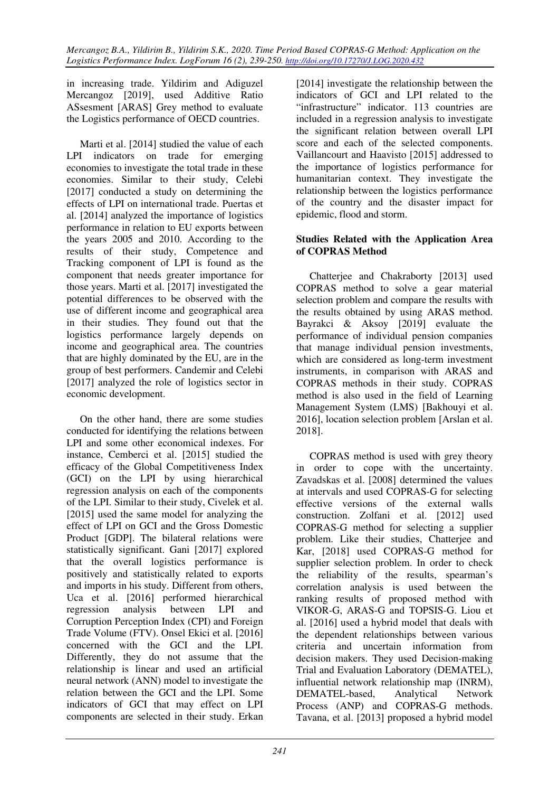in increasing trade. Yildirim and Adiguzel Mercangoz [2019], used Additive Ratio ASsesment [ARAS] Grey method to evaluate the Logistics performance of OECD countries.

Marti et al. [2014] studied the value of each LPI indicators on trade for emerging economies to investigate the total trade in these economies. Similar to their study, Celebi [2017] conducted a study on determining the effects of LPI on international trade. Puertas et al. [2014] analyzed the importance of logistics performance in relation to EU exports between the years 2005 and 2010. According to the results of their study, Competence and Tracking component of LPI is found as the component that needs greater importance for those years. Marti et al. [2017] investigated the potential differences to be observed with the use of different income and geographical area in their studies. They found out that the logistics performance largely depends on income and geographical area. The countries that are highly dominated by the EU, are in the group of best performers. Candemir and Celebi [2017] analyzed the role of logistics sector in economic development.

On the other hand, there are some studies conducted for identifying the relations between LPI and some other economical indexes. For instance, Cemberci et al. [2015] studied the efficacy of the Global Competitiveness Index (GCI) on the LPI by using hierarchical regression analysis on each of the components of the LPI. Similar to their study, Civelek et al. [2015] used the same model for analyzing the effect of LPI on GCI and the Gross Domestic Product [GDP]. The bilateral relations were statistically significant. Gani [2017] explored that the overall logistics performance is positively and statistically related to exports and imports in his study. Different from others, Uca et al. [2016] performed hierarchical regression analysis between LPI and Corruption Perception Index (CPI) and Foreign Trade Volume (FTV). Onsel Ekici et al. [2016] concerned with the GCI and the LPI. Differently, they do not assume that the relationship is linear and used an artificial neural network (ANN) model to investigate the relation between the GCI and the LPI. Some indicators of GCI that may effect on LPI components are selected in their study. Erkan

[2014] investigate the relationship between the indicators of GCI and LPI related to the "infrastructure" indicator. 113 countries are included in a regression analysis to investigate the significant relation between overall LPI score and each of the selected components. Vaillancourt and Haavisto [2015] addressed to the importance of logistics performance for humanitarian context. They investigate the relationship between the logistics performance of the country and the disaster impact for epidemic, flood and storm.

## **Studies Related with the Application Area of COPRAS Method**

Chatterjee and Chakraborty [2013] used COPRAS method to solve a gear material selection problem and compare the results with the results obtained by using ARAS method. Bayrakci & Aksoy [2019] evaluate the performance of individual pension companies that manage individual pension investments, which are considered as long-term investment instruments, in comparison with ARAS and COPRAS methods in their study. COPRAS method is also used in the field of Learning Management System (LMS) [Bakhouyi et al. 2016], location selection problem [Arslan et al. 2018].

COPRAS method is used with grey theory in order to cope with the uncertainty. Zavadskas et al. [2008] determined the values at intervals and used COPRAS-G for selecting effective versions of the external walls construction. Zolfani et al. [2012] used COPRAS-G method for selecting a supplier problem. Like their studies, Chatterjee and Kar, [2018] used COPRAS-G method for supplier selection problem. In order to check the reliability of the results, spearman's correlation analysis is used between the ranking results of proposed method with VIKOR-G, ARAS-G and TOPSIS-G. Liou et al. [2016] used a hybrid model that deals with the dependent relationships between various criteria and uncertain information from decision makers. They used Decision-making Trial and Evaluation Laboratory (DEMATEL), influential network relationship map (INRM), DEMATEL-based, Analytical Network Process (ANP) and COPRAS-G methods. Tavana, et al. [2013] proposed a hybrid model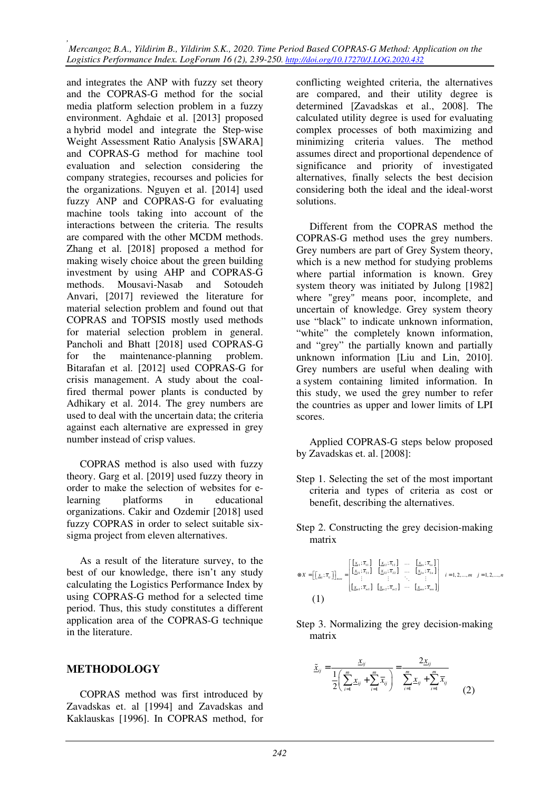*, Mercangoz B.A., Yildirim B., Yildirim S.K., 2020. Time Period Based COPRAS-G Method: Application on the Logistics Performance Index. LogForum 16 (2), 239-250. http://doi.org/10.17270/J.LOG.2020.432* 

and integrates the ANP with fuzzy set theory and the COPRAS-G method for the social media platform selection problem in a fuzzy environment. Aghdaie et al. [2013] proposed a hybrid model and integrate the Step-wise Weight Assessment Ratio Analysis [SWARA] and COPRAS-G method for machine tool evaluation and selection considering the company strategies, recourses and policies for the organizations. Nguyen et al. [2014] used fuzzy ANP and COPRAS-G for evaluating machine tools taking into account of the interactions between the criteria. The results are compared with the other MCDM methods. Zhang et al. [2018] proposed a method for making wisely choice about the green building investment by using AHP and COPRAS-G methods. Mousavi-Nasab and Sotoudeh Anvari, [2017] reviewed the literature for material selection problem and found out that COPRAS and TOPSIS mostly used methods for material selection problem in general. Pancholi and Bhatt [2018] used COPRAS-G for the maintenance-planning problem. Bitarafan et al. [2012] used COPRAS-G for crisis management. A study about the coalfired thermal power plants is conducted by Adhikary et al. 2014. The grey numbers are used to deal with the uncertain data; the criteria against each alternative are expressed in grey number instead of crisp values.

COPRAS method is also used with fuzzy theory. Garg et al. [2019] used fuzzy theory in order to make the selection of websites for elearning platforms in educational organizations. Cakir and Ozdemir [2018] used fuzzy COPRAS in order to select suitable sixsigma project from eleven alternatives.

As a result of the literature survey, to the best of our knowledge, there isn't any study calculating the Logistics Performance Index by using COPRAS-G method for a selected time period. Thus, this study constitutes a different application area of the COPRAS-G technique in the literature.

#### **METHODOLOGY**

COPRAS method was first introduced by Zavadskas et. al [1994] and Zavadskas and Kaklauskas [1996]. In COPRAS method, for

conflicting weighted criteria, the alternatives are compared, and their utility degree is determined [Zavadskas et al., 2008]. The calculated utility degree is used for evaluating complex processes of both maximizing and minimizing criteria values. The method assumes direct and proportional dependence of significance and priority of investigated alternatives, finally selects the best decision considering both the ideal and the ideal-worst solutions.

Different from the COPRAS method the COPRAS-G method uses the grey numbers. Grey numbers are part of Grey System theory, which is a new method for studying problems where partial information is known. Grey system theory was initiated by Julong [1982] where "grey" means poor, incomplete, and uncertain of knowledge. Grey system theory use "black" to indicate unknown information, "white" the completely known information, and "grey" the partially known and partially unknown information [Liu and Lin, 2010]. Grey numbers are useful when dealing with a system containing limited information. In this study, we used the grey number to refer the countries as upper and lower limits of LPI scores.

Applied COPRAS-G steps below proposed by Zavadskas et. al. [2008]:

- Step 1. Selecting the set of the most important criteria and types of criteria as cost or benefit, describing the alternatives.
- Step 2. Constructing the grey decision-making matrix

$$
\otimes x = \begin{bmatrix} \begin{bmatrix} x_{1}; \overline{x}_{1} \end{bmatrix} \end{bmatrix}_{max} = \begin{bmatrix} \begin{bmatrix} x_{1}; \overline{x}_{11} \end{bmatrix} & \begin{bmatrix} x_{2}; \overline{x}_{12} \end{bmatrix} & \cdots & \begin{bmatrix} x_{1n}; \overline{x}_{1n} \end{bmatrix} \\ \begin{bmatrix} \begin{bmatrix} x_{2}; \overline{x}_{21} \end{bmatrix} & \begin{bmatrix} x_{21}; \overline{x}_{22} \end{bmatrix} & \cdots & \begin{bmatrix} x_{2n}; \overline{x}_{2n} \end{bmatrix} \\ \begin{bmatrix} \begin{bmatrix} \begin{bmatrix} x_{21}; \overline{x}_{21} \end{bmatrix} & \begin{bmatrix} x_{22}; \overline{x}_{22} \end{bmatrix} & \cdots & \begin{bmatrix} \begin{bmatrix} x_{2n}; \overline{x}_{2n} \end{bmatrix} \end{bmatrix} \\ \begin{bmatrix} \begin{bmatrix} \begin{bmatrix} x_{21}; \overline{x}_{21} \end{bmatrix} & \begin{bmatrix} x_{22}; \overline{x}_{2n} \end{bmatrix} & \cdots & \begin{bmatrix} \begin{bmatrix} x_{2n}; \overline{x}_{2n} \end{bmatrix} \end{bmatrix} \end{bmatrix} \end{bmatrix}
$$
\n(1)

Step 3. Normalizing the grey decision-making matrix

$$
\tilde{x}_{ij} = \frac{x_{ij}}{2\left(\sum_{i=1}^{m} x_{ij} + \sum_{i=1}^{m} \overline{x}_{ij}\right)} = \frac{2x_{ij}}{\sum_{i=1}^{m} x_{ij} + \sum_{i=1}^{m} \overline{x}_{ij}}
$$
(2)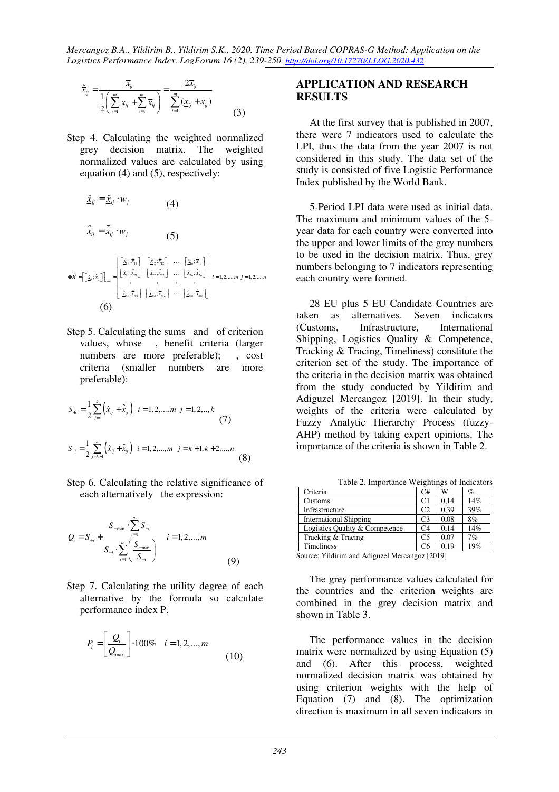*Mercangoz B.A., Yildirim B., Yildirim S.K., 2020. Time Period Based COPRAS-G Method: Application on the Logistics Performance Index. LogForum 16 (2), 239-250. http://doi.org/10.17270/J.LOG.2020.432* 

$$
\tilde{\overline{x}}_{ij} = \frac{\overline{x}_{ij}}{2\left(\sum_{i=1}^{m} \underline{x}_{ij} + \sum_{i=1}^{m} \overline{x}_{ij}\right)} = \frac{2\overline{x}_{ij}}{\sum_{i=1}^{m} (\underline{x}_{ij} + \overline{x}_{ij})}
$$
(3)

Step 4. Calculating the weighted normalized grey decision matrix. The weighted normalized values are calculated by using equation (4) and (5), respectively:

$$
\hat{\mathbf{x}}_{ij} = \tilde{\mathbf{x}}_{ij} \cdot w_j
$$
\n
$$
\hat{\vec{x}}_{ij} = \tilde{\vec{x}}_{ij} \cdot w_j
$$
\n(4)\n  
\n
$$
\hat{\vec{x}}_{ij} = \tilde{\vec{x}}_{ij} \cdot w_j
$$
\n(5)\n  
\n
$$
\otimes \hat{x} = \left[ \left[ \hat{\mathbf{x}}_i; \hat{\vec{x}}_1 \right] \right]_{\text{max}} = \begin{bmatrix} \left[ \hat{\mathbf{x}}_1; \hat{\vec{x}}_1 \right] & \left[ \hat{\mathbf{x}}_2; \hat{\vec{x}}_2 \right] & \cdots & \left[ \hat{\mathbf{x}}_n; \hat{\vec{x}}_n \right] \\ \left[ \hat{\mathbf{x}}_2; \hat{\vec{x}}_2 \right] & \cdots & \left[ \hat{\mathbf{x}}_n; \hat{\vec{x}}_n \right] \\ \vdots & \vdots & \ddots & \vdots \\ \left[ \hat{\mathbf{x}}_m; \hat{\vec{x}}_m \right] & \left[ \hat{\mathbf{x}}_m; \hat{\vec{x}}_m \right] & \cdots & \left[ \hat{\mathbf{x}}_m; \hat{\vec{x}}_m \right] \end{bmatrix} \quad i = 1, 2, \dots, m \quad j = 1, 2, \dots, n
$$
\n(6)

Step 5. Calculating the sums and of criterion values, whose , benefit criteria (larger numbers are more preferable); , cost criteria (smaller numbers are more preferable):

$$
S_{+i} = \frac{1}{2} \sum_{j=1}^{k} \left( \hat{\underline{x}}_{ij} + \hat{\overline{x}}_{ij} \right) \quad i = 1, 2, ..., m \quad j = 1, 2, ..., k
$$
\n
$$
S_{-i} = \frac{1}{2} \sum_{j=k+1}^{n} \left( \hat{\underline{x}}_{ij} + \hat{\overline{x}}_{ij} \right) \quad i = 1, 2, ..., m \quad j = k+1, k+2, ..., n
$$
\n(8)

Step 6. Calculating the relative significance of each alternatively the expression:

$$
Q_{i} = S_{+i} + \frac{S_{-\min} \cdot \sum_{i=1}^{m} S_{-i}}{S_{-i} \cdot \sum_{i=1}^{m} \left(\frac{S_{-\min}}{S_{-i}}\right)} \quad i = 1, 2, ..., m
$$
\n(9)

Step 7. Calculating the utility degree of each alternative by the formula so calculate performance index P,

$$
P_i = \left[ \frac{Q_i}{Q_{\text{max}}} \right] \cdot 100\% \quad i = 1, 2, ..., m \tag{10}
$$

## **APPLICATION AND RESEARCH RESULTS**

At the first survey that is published in 2007, there were 7 indicators used to calculate the LPI, thus the data from the year 2007 is not considered in this study. The data set of the study is consisted of five Logistic Performance Index published by the World Bank.

5-Period LPI data were used as initial data. The maximum and minimum values of the 5 year data for each country were converted into the upper and lower limits of the grey numbers to be used in the decision matrix. Thus, grey numbers belonging to 7 indicators representing each country were formed.

28 EU plus 5 EU Candidate Countries are taken as alternatives. Seven indicators (Customs, Infrastructure, International Shipping, Logistics Quality & Competence, Tracking & Tracing, Timeliness) constitute the criterion set of the study. The importance of the criteria in the decision matrix was obtained from the study conducted by Yildirim and Adiguzel Mercangoz [2019]. In their study, weights of the criteria were calculated by Fuzzy Analytic Hierarchy Process (fuzzy-AHP) method by taking expert opinions. The importance of the criteria is shown in Table 2.

| Table 2. Importance Weightings of Indicators |                |      |     |  |  |  |  |
|----------------------------------------------|----------------|------|-----|--|--|--|--|
| Criteria                                     | C#             | W    | %   |  |  |  |  |
| Customs                                      | C <sub>1</sub> | 0.14 | 14% |  |  |  |  |
| Infrastructure                               | C <sub>2</sub> | 0.39 | 39% |  |  |  |  |
| <b>International Shipping</b>                | C <sub>3</sub> | 0.08 | 8%  |  |  |  |  |
| Logistics Quality & Competence               | C <sub>4</sub> | 0.14 | 14% |  |  |  |  |
| Tracking & Tracing                           | C <sub>5</sub> | 0.07 | 7%  |  |  |  |  |
| <b>Timeliness</b>                            |                | 0.19 | 19% |  |  |  |  |

Source: Yildirim and Adiguzel Mercangoz [2019]

The grey performance values calculated for the countries and the criterion weights are combined in the grey decision matrix and shown in Table 3.

The performance values in the decision matrix were normalized by using Equation (5) and (6). After this process, weighted normalized decision matrix was obtained by using criterion weights with the help of Equation (7) and (8). The optimization direction is maximum in all seven indicators in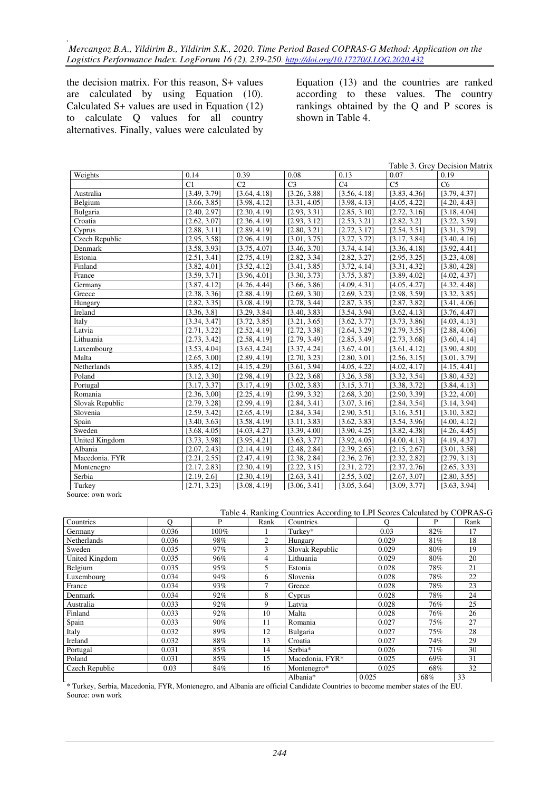the decision matrix. For this reason, S+ values are calculated by using Equation (10). Calculated S+ values are used in Equation (12) to calculate Q values for all country alternatives. Finally, values were calculated by Equation (13) and the countries are ranked according to these values. The country rankings obtained by the Q and P scores is shown in Table 4.

|                       |              |                 |                |                |                | Table 3. Grey Decision Matrix |
|-----------------------|--------------|-----------------|----------------|----------------|----------------|-------------------------------|
| Weights               | 0.14         | 0.39            | 0.08           | 0.13           | 0.07           | 0.19                          |
|                       | C1           | $\overline{C2}$ | C <sub>3</sub> | C <sub>4</sub> | C <sub>5</sub> | C <sub>6</sub>                |
| Australia             | [3.49, 3.79] | [3.64, 4.18]    | [3.26, 3.88]   | [3.56, 4.18]   | [3.83, 4.36]   | [3.79, 4.37]                  |
| Belgium               | [3.66, 3.85] | [3.98, 4.12]    | [3.31, 4.05]   | [3.98, 4.13]   | [4.05, 4.22]   | [4.20, 4.43]                  |
| Bulgaria              | [2.40, 2.97] | [2.30, 4.19]    | [2.93, 3.31]   | [2.85, 3.10]   | [2.72, 3.16]   | [3.18, 4.04]                  |
| Croatia               | [2.62, 3.07] | [2.36, 4.19]    | [2.93, 3.12]   | [2.53, 3.21]   | [2.82, 3.2]    | [3.22, 3.59]                  |
| Cyprus                | [2.88, 3.11] | [2.89, 4.19]    | [2.80, 3.21]   | [2.72, 3.17]   | [2.54, 3.51]   | [3.31, 3.79]                  |
| Czech Republic        | [2.95, 3.58] | [2.96, 4.19]    | [3.01, 3.75]   | [3.27, 3.72]   | [3.17, 3.84]   | [3.40, 4.16]                  |
| Denmark               | [3.58, 3.93] | [3.75, 4.07]    | [3.46, 3.70]   | [3.74, 4.14]   | [3.36, 4.18]   | [3.92, 4.41]                  |
| Estonia               | [2.51, 3.41] | [2.75, 4.19]    | [2.82, 3.34]   | [2.82, 3.27]   | [2.95, 3.25]   | [3.23, 4.08]                  |
| Finland               | [3.82, 4.01] | [3.52, 4.12]    | [3.41, 3.85]   | [3.72, 4.14]   | [3.31, 4.32]   | [3.80, 4.28]                  |
| France                | [3.59, 3.71] | [3.96, 4.01]    | [3.30, 3.73]   | [3.75, 3.87]   | [3.89, 4.02]   | [4.02, 4.37]                  |
| Germany               | [3.87, 4.12] | [4.26, 4.44]    | [3.66, 3.86]   | [4.09, 4.31]   | [4.05, 4.27]   | [4.32, 4.48]                  |
| Greece                | [2.38, 3.36] | [2.88, 4.19]    | [2.69, 3.30]   | [2.69, 3.23]   | [2.98, 3.59]   | [3.32, 3.85]                  |
| Hungary               | [2.82, 3.35] | [3.08, 4.19]    | [2.78, 3.44]   | [2.87, 3.35]   | [2.87, 3.82]   | [3.41, 4.06]                  |
| Ireland               | [3.36, 3.8]  | [3.29, 3.84]    | [3.40, 3.83]   | [3.54, 3.94]   | [3.62, 4.13]   | [3.76, 4.47]                  |
| Italy                 | [3.34, 3.47] | [3.72, 3.85]    | [3.21, 3.65]   | [3.62, 3.77]   | [3.73, 3.86]   | [4.03, 4.13]                  |
| Latvia                | [2.71, 3.22] | [2.52, 4.19]    | [2.72, 3.38]   | [2.64, 3.29]   | [2.79, 3.55]   | [2.88, 4.06]                  |
| Lithuania             | [2.73, 3.42] | [2.58, 4.19]    | [2.79, 3.49]   | [2.85, 3.49]   | [2.73, 3.68]   | [3.60, 4.14]                  |
| Luxembourg            | [3.53, 4.04] | [3.63, 4.24]    | [3.37, 4.24]   | [3.67, 4.01]   | [3.61, 4.12]   | [3.90, 4.80]                  |
| Malta                 | [2.65, 3.00] | [2.89, 4.19]    | [2.70, 3.23]   | [2.80, 3.01]   | [2.56, 3.15]   | [3.01, 3.79]                  |
| Netherlands           | [3.85, 4.12] | [4.15, 4.29]    | [3.61, 3.94]   | [4.05, 4.22]   | [4.02, 4.17]   | [4.15, 4.41]                  |
| Poland                | [3.12, 3.30] | [2.98, 4.19]    | [3.22, 3.68]   | [3.26, 3.58]   | [3.32, 3.54]   | [3.80, 4.52]                  |
| Portugal              | [3.17, 3.37] | [3.17, 4.19]    | [3.02, 3.83]   | [3.15, 3.71]   | [3.38, 3.72]   | [3.84, 4.13]                  |
| Romania               | [2.36, 3,00] | [2.25, 4.19]    | [2.99, 3.32]   | [2.68, 3.20]   | [2.90, 3.39]   | [3.22, 4.00]                  |
| Slovak Republic       | [2.79, 3.28] | [2.99, 4.19]    | [2.84, 3.41]   | [3.07, 3.16]   | [2.84, 3.54]   | [3.14, 3.94]                  |
| Slovenia              | [2.59, 3.42] | [2.65, 4.19]    | [2.84, 3.34]   | [2.90, 3.51]   | [3.16, 3.51]   | [3.10, 3.82]                  |
| Spain                 | [3.40, 3.63] | [3.58, 4.19]    | [3.11, 3.83]   | [3.62, 3.83]   | [3.54, 3.96]   | [4.00, 4.12]                  |
| Sweden                | [3.68, 4.05] | [4.03, 4.27]    | [3.39, 4.00]   | [3.90, 4.25]   | [3.82, 4.38]   | [4.26, 4.45]                  |
| <b>United Kingdom</b> | [3.73, 3.98] | [3.95, 4.21]    | [3.63, 3.77]   | [3.92, 4.05]   | [4.00, 4.13]   | [4.19, 4.37]                  |
| Albania               | [2.07, 2.43] | [2.14, 4.19]    | [2.48, 2.84]   | [2.39, 2.65]   | [2.15, 2.67]   | [3.01, 3.58]                  |
| Macedonia. FYR        | [2.21, 2.55] | [2.47, 4.19]    | [2.38, 2.84]   | [2.36, 2.76]   | [2.32, 2.82]   | [2.79, 3.13]                  |
| Montenegro            | [2.17, 2.83] | [2.30, 4.19]    | [2.22, 3.15]   | [2.31, 2.72]   | [2.37, 2.76]   | [2.65, 3.33]                  |
| Serbia                | [2.19, 2.6]  | [2.30, 4.19]    | [2.63, 3.41]   | [2.55, 3.02]   | [2.67, 3.07]   | [2.80, 3.55]                  |
| Turkey                | [2.71, 3.23] | [3.08, 4.19]    | [3.06, 3.41]   | [3.05, 3.64]   | [3.09, 3.77]   | [3.63, 3.94]                  |

Source: own work

Table 4. Ranking Countries According to LPI Scores Calculated by COPRAS-G

| Countries      | $\Omega$ | P    | Rank | Countries<br>$\Omega$ |       | P   | Rank |
|----------------|----------|------|------|-----------------------|-------|-----|------|
| Germany        | 0.036    | 100% |      | Turkev*               | 0.03  | 82% | 17   |
| Netherlands    | 0.036    | 98%  | 2    | Hungary               | 0.029 | 81% | 18   |
| Sweden         | 0.035    | 97%  | 3    | Slovak Republic       | 0.029 | 80% | 19   |
| United Kingdom | 0.035    | 96%  | 4    | Lithuania             | 0.029 | 80% | 20   |
| Belgium        | 0.035    | 95%  | 5    | Estonia               | 0.028 | 78% | 21   |
| Luxembourg     | 0.034    | 94%  | 6    | Slovenia              | 0.028 | 78% | 22   |
| France         | 0.034    | 93%  | 7    | Greece                | 0.028 | 78% | 23   |
| Denmark        | 0.034    | 92%  | 8    | Cyprus                | 0.028 | 78% | 24   |
| Australia      | 0.033    | 92%  | 9    | Latvia                | 0.028 | 76% | 25   |
| Finland        | 0.033    | 92%  | 10   | Malta                 | 0.028 | 76% | 26   |
| Spain          | 0.033    | 90%  | 11   | Romania               | 0.027 | 75% | 27   |
| Italy          | 0.032    | 89%  | 12   | Bulgaria              | 0.027 | 75% | 28   |
| Ireland        | 0.032    | 88%  | 13   | Croatia               | 0.027 | 74% | 29   |
| Portugal       | 0.031    | 85%  | 14   | Serbia*               | 0.026 | 71% | 30   |
| Poland         | 0.031    | 85%  | 15   | Macedonia, FYR*       | 0.025 | 69% | 31   |
| Czech Republic | 0.03     | 84%  | 16   | Montenegro*           | 0.025 | 68% | 32   |
|                |          |      |      | Albania*              | 0.025 | 68% | 33   |

\* Turkey, Serbia, Macedonia, FYR, Montenegro, and Albania are official Candidate Countries to become member states of the EU. Source: own work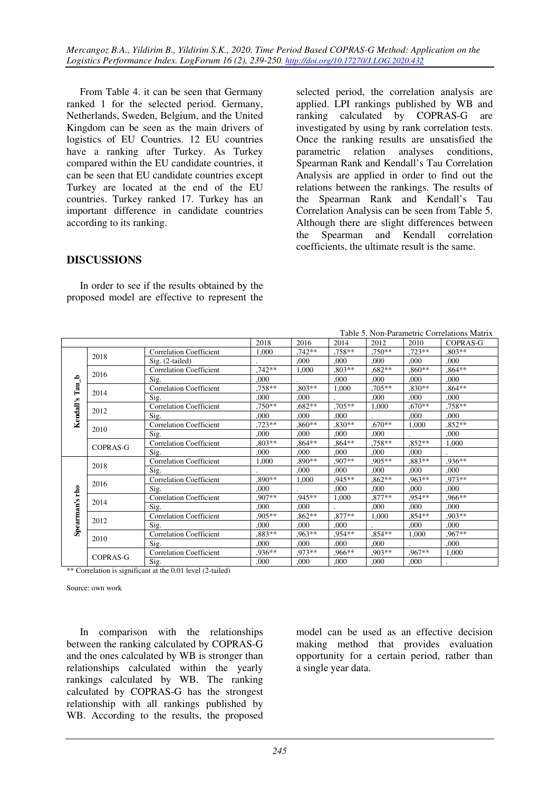From Table 4. it can be seen that Germany ranked 1 for the selected period. Germany, Netherlands, Sweden, Belgium, and the United Kingdom can be seen as the main drivers of logistics of EU Countries. 12 EU countries have a ranking after Turkey. As Turkey compared within the EU candidate countries, it can be seen that EU candidate countries except Turkey are located at the end of the EU countries. Turkey ranked 17. Turkey has an important difference in candidate countries according to its ranking.

selected period, the correlation analysis are applied. LPI rankings published by WB and ranking calculated by COPRAS-G are investigated by using by rank correlation tests. Once the ranking results are unsatisfied the parametric relation analyses conditions, Spearman Rank and Kendall's Tau Correlation Analysis are applied in order to find out the relations between the rankings. The results of the Spearman Rank and Kendall's Tau Correlation Analysis can be seen from Table 5. Although there are slight differences between the Spearman and Kendall correlation coefficients, the ultimate result is the same.

# **DISCUSSIONS**

In order to see if the results obtained by the proposed model are effective to represent the

| Table 5. Non-Parametric Correlations Matrix      |                 |                                |          |          |          |           |          |          |
|--------------------------------------------------|-----------------|--------------------------------|----------|----------|----------|-----------|----------|----------|
| 2018<br>2016<br>2014<br>2012<br>2010<br>COPRAS-G |                 |                                |          |          |          |           |          |          |
|                                                  | 2018            | Correlation Coefficient        | 1.000    | $.742**$ | .758**   | $.750**$  | $.723**$ | $.803**$ |
|                                                  |                 | $\mathrm{Sig.}$ (2-tailed)     |          | .000     | .000     | .000      | .000     | .000     |
|                                                  | 2016            | <b>Correlation Coefficient</b> | $.742**$ | 1,000    | $.803**$ | $0.682**$ | $.860**$ | $.864**$ |
| م                                                |                 | Sig.                           | .000     |          | .000     | .000      | .000     | .000.    |
| Tau                                              |                 | <b>Correlation Coefficient</b> | $.758**$ | $.803**$ | 1,000    | $.705**$  | $.830**$ | $.864**$ |
|                                                  | 2014            | Sig.                           | .000     | .000     |          | ,000      | .000     | .000     |
| Kendall's                                        | 2012            | <b>Correlation Coefficient</b> | $.750**$ | $.682**$ | $.705**$ | 1,000     | $.670**$ | $.758**$ |
|                                                  |                 | Sig.                           | .000     | .000     | .000     |           | .000     | .000     |
|                                                  | 2010            | <b>Correlation Coefficient</b> | .723**   | $.860**$ | $.830**$ | $.670**$  | 1.000    | $.852**$ |
|                                                  |                 | Sig.                           | .000     | .000     | .000     | .000      |          | .000     |
|                                                  | <b>COPRAS-G</b> | <b>Correlation Coefficient</b> | $.803**$ | $.864**$ | $.864**$ | $.758**$  | $.852**$ | 1.000    |
|                                                  |                 | Sig.                           | .000     | .000     | .000     | ,000      | .000     |          |
|                                                  | 2018            | <b>Correlation Coefficient</b> | 1.000    | $.890**$ | $.907**$ | $.905**$  | .883**   | $.936**$ |
|                                                  |                 | Sig.                           |          | .000     | .000     | .000      | .000     | .000     |
|                                                  | 2016            | <b>Correlation Coefficient</b> | .890**   | 1.000    | $.945**$ | $.862**$  | $.963**$ | $.973**$ |
| rho                                              |                 | Sig.                           | .000     |          | .000     | .000      | .000     | .000.    |
|                                                  | 2014            | <b>Correlation Coefficient</b> | .907**   | $.945**$ | 1,000    | $.877**$  | .954**   | $.966**$ |
| Spearman's                                       |                 | Sig.                           | .000     | .000     |          | .000      | .000     | .000.    |
|                                                  | 2012            | <b>Correlation Coefficient</b> | $.905**$ | $.862**$ | $.877**$ | 1.000     | $.854**$ | $.903**$ |
|                                                  |                 | Sig.                           | .000     | .000     | .000     |           | .000     | .000.    |
|                                                  | 2010            | <b>Correlation Coefficient</b> | .883**   | $.963**$ | .954**   | $.854**$  | 1,000    | $.967**$ |
|                                                  |                 | Sig.                           | .000     | .000     | .000     | .000      |          | .000     |
|                                                  | <b>COPRAS-G</b> | <b>Correlation Coefficient</b> | $.936**$ | .973**   | $.966**$ | $.903**$  | $.967**$ | 1.000    |
|                                                  |                 | Sig.                           | .000     | ,000     | .000     | ,000      | ,000     |          |

\*\* Correlation is significant at the 0.01 level (2-tailed)

Source: own work

In comparison with the relationships between the ranking calculated by COPRAS-G and the ones calculated by WB is stronger than relationships calculated within the yearly rankings calculated by WB. The ranking calculated by COPRAS-G has the strongest relationship with all rankings published by WB. According to the results, the proposed

model can be used as an effective decision making method that provides evaluation opportunity for a certain period, rather than a single year data.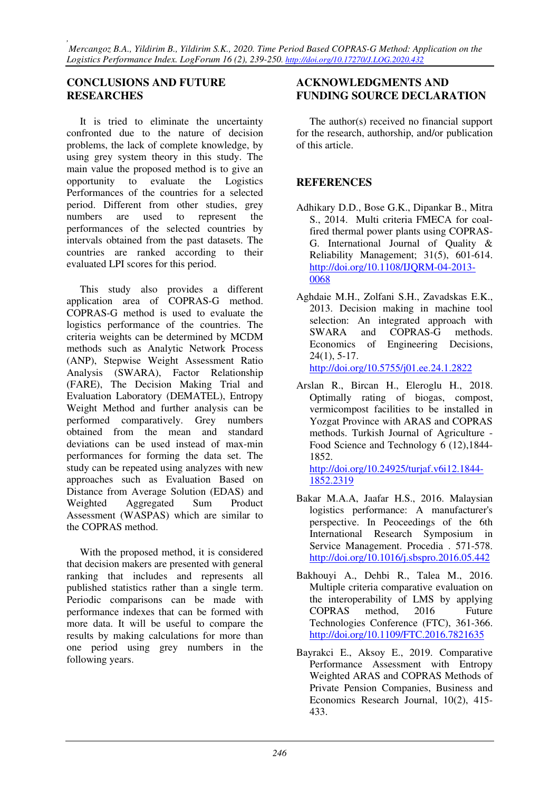## **CONCLUSIONS AND FUTURE RESEARCHES**

It is tried to eliminate the uncertainty confronted due to the nature of decision problems, the lack of complete knowledge, by using grey system theory in this study. The main value the proposed method is to give an opportunity to evaluate the Logistics Performances of the countries for a selected period. Different from other studies, grey numbers are used to represent the performances of the selected countries by intervals obtained from the past datasets. The countries are ranked according to their evaluated LPI scores for this period.

This study also provides a different application area of COPRAS-G method. COPRAS-G method is used to evaluate the logistics performance of the countries. The criteria weights can be determined by MCDM methods such as Analytic Network Process (ANP), Stepwise Weight Assessment Ratio Analysis (SWARA), Factor Relationship (FARE), The Decision Making Trial and Evaluation Laboratory (DEMATEL), Entropy Weight Method and further analysis can be performed comparatively. Grey numbers obtained from the mean and standard deviations can be used instead of max-min performances for forming the data set. The study can be repeated using analyzes with new approaches such as Evaluation Based on Distance from Average Solution (EDAS) and Weighted Aggregated Sum Product Assessment (WASPAS) which are similar to the COPRAS method.

With the proposed method, it is considered that decision makers are presented with general ranking that includes and represents all published statistics rather than a single term. Periodic comparisons can be made with performance indexes that can be formed with more data. It will be useful to compare the results by making calculations for more than one period using grey numbers in the following years.

## **ACKNOWLEDGMENTS AND FUNDING SOURCE DECLARATION**

The author(s) received no financial support for the research, authorship, and/or publication of this article.

# **REFERENCES**

- Adhikary D.D., Bose G.K., Dipankar B., Mitra S., 2014. Multi criteria FMECA for coalfired thermal power plants using COPRAS-G. International Journal of Quality & Reliability Management; 31(5), 601-614. http://doi.org/10.1108/IJQRM-04-2013- 0068
- Aghdaie M.H., Zolfani S.H., Zavadskas E.K., 2013. Decision making in machine tool selection: An integrated approach with SWARA and COPRAS-G methods. Economics of Engineering Decisions, 24(1), 5-17.

http://doi.org/10.5755/j01.ee.24.1.2822

Arslan R., Bircan H., Eleroglu H., 2018. Optimally rating of biogas, compost, vermicompost facilities to be installed in Yozgat Province with ARAS and COPRAS methods. Turkish Journal of Agriculture - Food Science and Technology 6 (12),1844- 1852.

http://doi.org/10.24925/turjaf.v6i12.1844- 1852.2319

- Bakar M.A.A, Jaafar H.S., 2016. Malaysian logistics performance: A manufacturer's perspective. In Peoceedings of the 6th International Research Symposium in Service Management. Procedia . 571-578. http://doi.org/10.1016/j.sbspro.2016.05.442
- Bakhouyi A., Dehbi R., Talea M., 2016. Multiple criteria comparative evaluation on the interoperability of LMS by applying COPRAS method, 2016 Future Technologies Conference (FTC), 361-366. http://doi.org/10.1109/FTC.2016.7821635
- Bayrakci E., Aksoy E., 2019. Comparative Performance Assessment with Entropy Weighted ARAS and COPRAS Methods of Private Pension Companies, Business and Economics Research Journal, 10(2), 415- 433.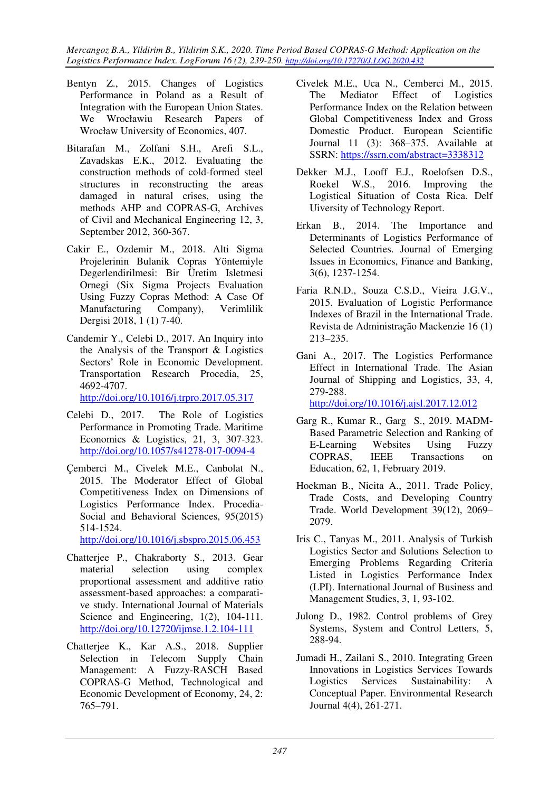*Mercangoz B.A., Yildirim B., Yildirim S.K., 2020. Time Period Based COPRAS-G Method: Application on the Logistics Performance Index. LogForum 16 (2), 239-250. http://doi.org/10.17270/J.LOG.2020.432* 

- Bentyn Z., 2015. Changes of Logistics Performance in Poland as a Result of Integration with the European Union States. We Wrocławiu Research Papers of Wrocław University of Economics, 407.
- Bitarafan M., Zolfani S.H., Arefi S.L., Zavadskas E.K., 2012. Evaluating the construction methods of cold-formed steel structures in reconstructing the areas damaged in natural crises, using the methods AHP and COPRAS-G, Archives of Civil and Mechanical Engineering 12, 3, September 2012, 360-367.
- Cakir E., Ozdemir M., 2018. Alti Sigma Projelerinin Bulanik Copras Yöntemiyle Degerlendirilmesi: Bir Üretim Isletmesi Ornegi (Six Sigma Projects Evaluation Using Fuzzy Copras Method: A Case Of Manufacturing Company), Verimlilik Dergisi 2018, 1 (1) 7-40.
- Candemir Y., Celebi D., 2017. An Inquiry into the Analysis of the Transport & Logistics Sectors' Role in Economic Development. Transportation Research Procedia, 25, 4692-4707.

http://doi.org/10.1016/j.trpro.2017.05.317

- Celebi D., 2017. The Role of Logistics Performance in Promoting Trade. Maritime Economics & Logistics, 21, 3, 307-323. http://doi.org/10.1057/s41278-017-0094-4
- Çemberci M., Civelek M.E., Canbolat N., 2015. The Moderator Effect of Global Competitiveness Index on Dimensions of Logistics Performance Index. Procedia-Social and Behavioral Sciences, 95(2015) 514-1524. http://doi.org/10.1016/j.sbspro.2015.06.453
- Chatterjee P., Chakraborty S., 2013. Gear material selection using complex proportional assessment and additive ratio assessment-based approaches: a comparative study. International Journal of Materials Science and Engineering, 1(2), 104-111. http://doi.org/10.12720/ijmse.1.2.104-111
- Chatterjee K., Kar A.S., 2018. Supplier Selection in Telecom Supply Chain Management: A Fuzzy-RASCH Based COPRAS-G Method, Technological and Economic Development of Economy, 24, 2: 765–791.
- Civelek M.E., Uca N., Cemberci M., 2015. The Mediator Effect of Logistics Performance Index on the Relation between Global Competitiveness Index and Gross Domestic Product. European Scientific Journal 11 (3): 368–375. Available at SSRN: https://ssrn.com/abstract=3338312
- Dekker M.J., Looff E.J., Roelofsen D.S., Roekel W.S., 2016. Improving the Logistical Situation of Costa Rica. Delf Uiversity of Technology Report.
- Erkan B., 2014. The Importance and Determinants of Logistics Performance of Selected Countries. Journal of Emerging Issues in Economics, Finance and Banking, 3(6), 1237-1254.
- Faria R.N.D., Souza C.S.D., Vieira J.G.V., 2015. Evaluation of Logistic Performance Indexes of Brazil in the International Trade. Revista de Administração Mackenzie 16 (1) 213–235.
- Gani A., 2017. The Logistics Performance Effect in International Trade. The Asian Journal of Shipping and Logistics, 33, 4, 279-288.

http://doi.org/10.1016/j.ajsl.2017.12.012

- Garg R., Kumar R., Garg S., 2019. MADM-Based Parametric Selection and Ranking of E-Learning Websites Using Fuzzy COPRAS, IEEE Transactions on Education, 62, 1, February 2019.
- Hoekman B., Nicita A., 2011. Trade Policy, Trade Costs, and Developing Country Trade. World Development 39(12), 2069– 2079.
- Iris C., Tanyas M., 2011. Analysis of Turkish Logistics Sector and Solutions Selection to Emerging Problems Regarding Criteria Listed in Logistics Performance Index (LPI). International Journal of Business and Management Studies, 3, 1, 93-102.
- Julong D., 1982. Control problems of Grey Systems, System and Control Letters, 5, 288-94.
- Jumadi H., Zailani S., 2010. Integrating Green Innovations in Logistics Services Towards Logistics Services Sustainability: A Conceptual Paper. Environmental Research Journal 4(4), 261-271.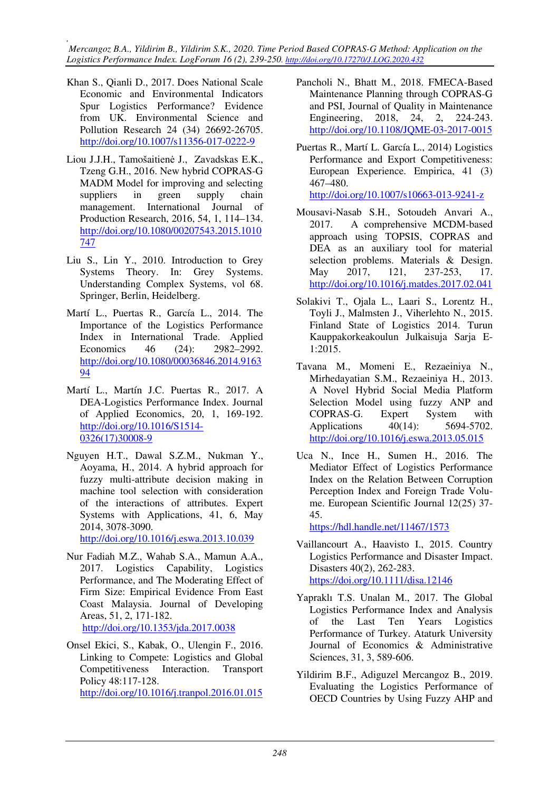*, Mercangoz B.A., Yildirim B., Yildirim S.K., 2020. Time Period Based COPRAS-G Method: Application on the Logistics Performance Index. LogForum 16 (2), 239-250. http://doi.org/10.17270/J.LOG.2020.432* 

- Khan S., Qianli D., 2017. Does National Scale Economic and Environmental Indicators Spur Logistics Performance? Evidence from UK. Environmental Science and Pollution Research 24 (34) 26692-26705. http://doi.org/10.1007/s11356-017-0222-9
- Liou J.J.H., Tamošaitienė J., Zavadskas E.K., Tzeng G.H., 2016. New hybrid COPRAS-G MADM Model for improving and selecting suppliers in green supply chain management. International Journal of Production Research, 2016, 54, 1, 114–134. http://doi.org/10.1080/00207543.2015.1010 747
- Liu S., Lin Y., 2010. Introduction to Grey Systems Theory. In: Grey Systems. Understanding Complex Systems, vol 68. Springer, Berlin, Heidelberg.
- Martí L., Puertas R., García L., 2014. The Importance of the Logistics Performance Index in International Trade. Applied Economics 46 (24): 2982–2992. http://doi.org/10.1080/00036846.2014.9163 94
- Martí L., Martín J.C. Puertas R., 2017. A DEA-Logistics Performance Index. Journal of Applied Economics, 20, 1, 169-192. http://doi.org/10.1016/S1514- 0326(17)30008-9
- Nguyen H.T., Dawal S.Z.M., Nukman Y., Aoyama, H., 2014. A hybrid approach for fuzzy multi-attribute decision making in machine tool selection with consideration of the interactions of attributes. Expert Systems with Applications, 41, 6, May 2014, 3078-3090.

http://doi.org/10.1016/j.eswa.2013.10.039

- Nur Fadiah M.Z., Wahab S.A., Mamun A.A., 2017. Logistics Capability, Logistics Performance, and The Moderating Effect of Firm Size: Empirical Evidence From East Coast Malaysia. Journal of Developing Areas, 51, 2, 171-182. http://doi.org/10.1353/jda.2017.0038
- Onsel Ekici, S., Kabak, O., Ulengin F., 2016. Linking to Compete: Logistics and Global Competitiveness Interaction. Transport Policy 48:117-128. http://doi.org/10.1016/j.tranpol.2016.01.015
- Pancholi N., Bhatt M., 2018. FMECA-Based Maintenance Planning through COPRAS-G and PSI, Journal of Quality in Maintenance Engineering, 2018, 24, 2, 224-243. http://doi.org/10.1108/JQME-03-2017-0015
- Puertas R., Martí L. García L., 2014) Logistics Performance and Export Competitiveness: European Experience. Empirica, 41 (3) 467–480.

http://doi.org/10.1007/s10663-013-9241-z

- Mousavi-Nasab S.H., Sotoudeh Anvari A., 2017. A comprehensive MCDM-based approach using TOPSIS, COPRAS and DEA as an auxiliary tool for material selection problems. Materials & Design. May 2017, 121, 237-253, 17. http://doi.org/10.1016/j.matdes.2017.02.041
- Solakivi T., Ojala L., Laari S., Lorentz H., Toyli J., Malmsten J., Viherlehto N., 2015. Finland State of Logistics 2014. Turun Kauppakorkeakoulun Julkaisuja Sarja E-1:2015.
- Tavana M., Momeni E., Rezaeiniya N., Mirhedayatian S.M., Rezaeiniya H., 2013. A Novel Hybrid Social Media Platform Selection Model using fuzzy ANP and COPRAS-G. Expert System with Applications 40(14): 5694-5702. http://doi.org/10.1016/j.eswa.2013.05.015
- Uca N., Ince H., Sumen H., 2016. The Mediator Effect of Logistics Performance Index on the Relation Between Corruption Perception Index and Foreign Trade Volume. European Scientific Journal 12(25) 37- 45.

https://hdl.handle.net/11467/1573

- Vaillancourt A., Haavisto I., 2015. Country Logistics Performance and Disaster Impact. Disasters 40(2), 262-283. https://doi.org/10.1111/disa.12146
- Yapraklı T.S. Unalan M., 2017. The Global Logistics Performance Index and Analysis of the Last Ten Years Logistics Performance of Turkey. Ataturk University Journal of Economics & Administrative Sciences, 31, 3, 589-606.
- Yildirim B.F., Adiguzel Mercangoz B., 2019. Evaluating the Logistics Performance of OECD Countries by Using Fuzzy AHP and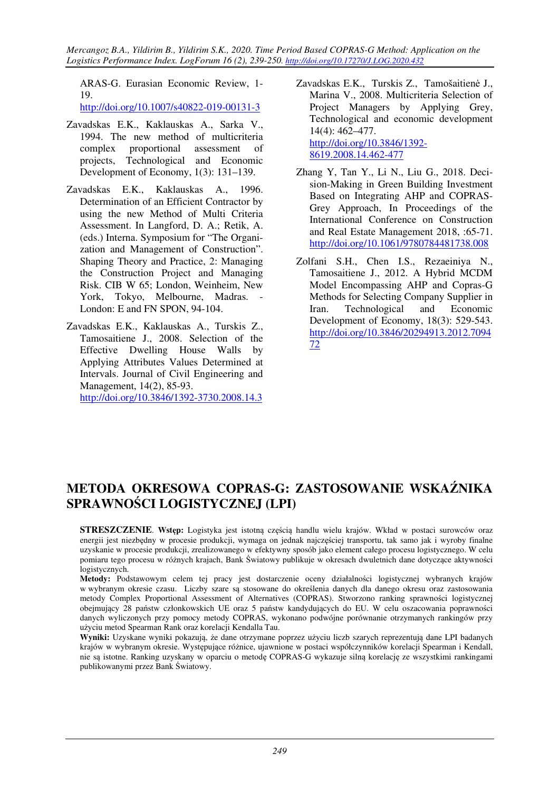ARAS-G. Eurasian Economic Review, 1- 19.

http://doi.org/10.1007/s40822-019-00131-3

- Zavadskas E.K., Kaklauskas A., Sarka V., 1994. The new method of multicriteria complex proportional assessment of projects, Technological and Economic Development of Economy, 1(3): 131–139.
- Zavadskas E.K., Kaklauskas A., 1996. Determination of an Efficient Contractor by using the new Method of Multi Criteria Assessment. In Langford, D. A.; Retik, A. (eds.) Interna. Symposium for "The Organization and Management of Construction". Shaping Theory and Practice, 2: Managing the Construction Project and Managing Risk. CIB W 65; London, Weinheim, New York, Tokyo, Melbourne, Madras. - London: E and FN SPON, 94-104.
- Zavadskas E.K., Kaklauskas A., Turskis Z., Tamosaitiene J., 2008. Selection of the Effective Dwelling House Walls by Applying Attributes Values Determined at Intervals. Journal of Civil Engineering and Management, 14(2), 85-93. http://doi.org/10.3846/1392-3730.2008.14.3
- Zavadskas E.K., Turskis Z., Tamošaitienė J., Marina V., 2008. Multicriteria Selection of Project Managers by Applying Grey, Technological and economic development 14(4): 462–477. http://doi.org/10.3846/1392- 8619.2008.14.462-477
- Zhang Y, Tan Y., Li N., Liu G., 2018. Decision-Making in Green Building Investment Based on Integrating AHP and COPRAS-Grey Approach, In Proceedings of the International Conference on Construction and Real Estate Management 2018, :65-71. http://doi.org/10.1061/9780784481738.008
- Zolfani S.H., Chen I.S., Rezaeiniya N., Tamosaitiene J., 2012. A Hybrid MCDM Model Encompassing AHP and Copras-G Methods for Selecting Company Supplier in Iran. Technological and Economic Development of Economy, 18(3): 529-543. http://doi.org/10.3846/20294913.2012.7094 72

# **METODA OKRESOWA COPRAS-G: ZASTOSOWANIE WSKAŹNIKA SPRAWNOŚCI LOGISTYCZNEJ (LPI)**

**STRESZCZENIE**. **Wstęp:** Logistyka jest istotną częścią handlu wielu krajów. Wkład w postaci surowców oraz energii jest niezbędny w procesie produkcji, wymaga on jednak najczęściej transportu, tak samo jak i wyroby finalne uzyskanie w procesie produkcji, zrealizowanego w efektywny sposób jako element całego procesu logistycznego. W celu pomiaru tego procesu w różnych krajach, Bank Światowy publikuje w okresach dwuletnich dane dotyczące aktywności logistycznych.

**Metody:** Podstawowym celem tej pracy jest dostarczenie oceny działalności logistycznej wybranych krajów w wybranym okresie czasu. Liczby szare są stosowane do określenia danych dla danego okresu oraz zastosowania metody Complex Proportional Assessment of Alternatives (COPRAS). Stworzono ranking sprawności logistycznej obejmujący 28 państw członkowskich UE oraz 5 państw kandydujących do EU. W celu oszacowania poprawności danych wyliczonych przy pomocy metody COPRAS, wykonano podwójne porównanie otrzymanych rankingów przy użyciu metod Spearman Rank oraz korelacji Kendalla Tau.

**Wyniki:** Uzyskane wyniki pokazują, że dane otrzymane poprzez użyciu liczb szarych reprezentują dane LPI badanych krajów w wybranym okresie. Występujące różnice, ujawnione w postaci współczynników korelacji Spearman i Kendall, nie są istotne. Ranking uzyskany w oparciu o metodę COPRAS-G wykazuje silną korelację ze wszystkimi rankingami publikowanymi przez Bank Światowy.